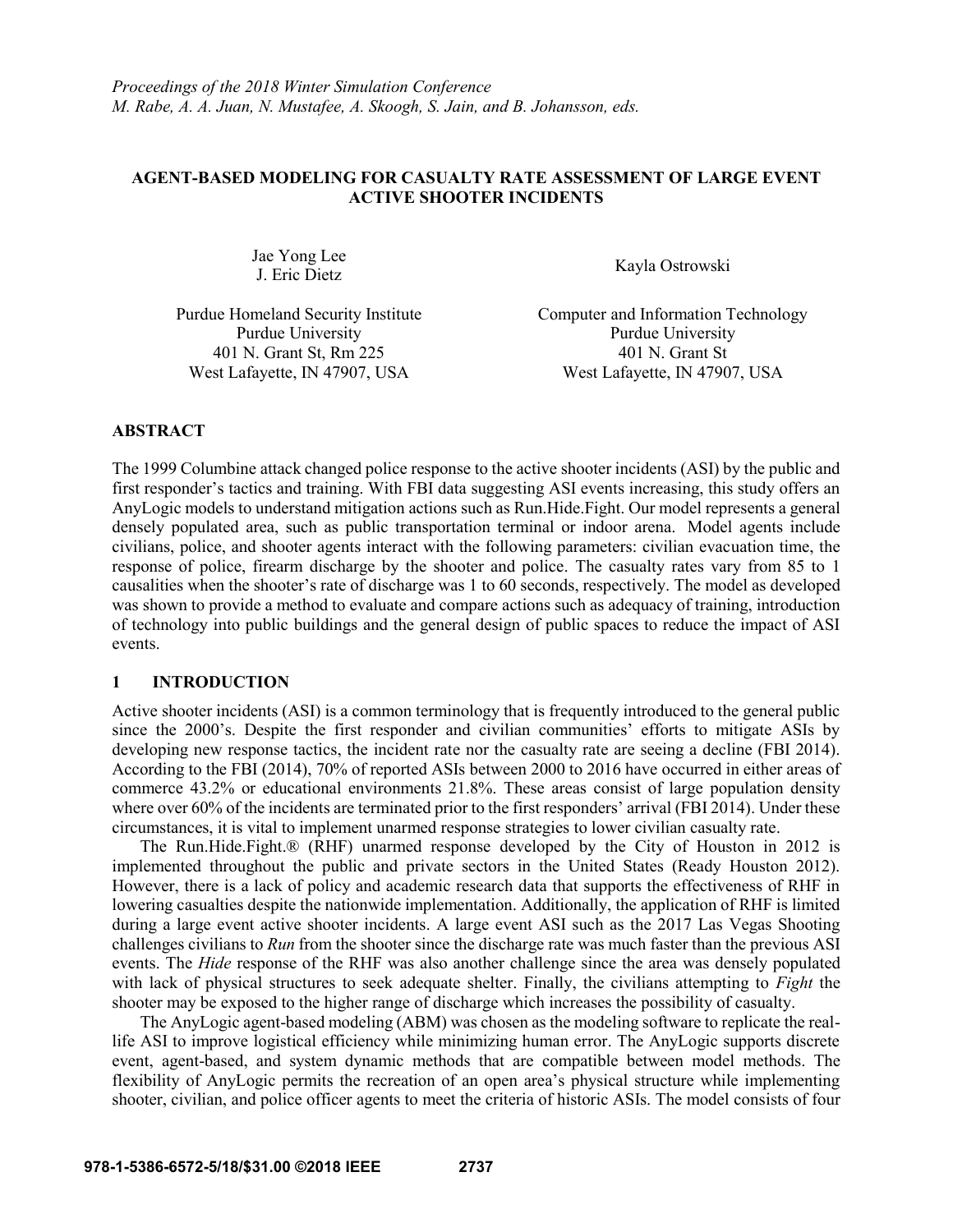# **AGENT-BASED MODELING FOR CASUALTY RATE ASSESSMENT OF LARGE EVENT ACTIVE SHOOTER INCIDENTS**

Jae Yong Lee va Tong Lee<br>
J. Eric Dietz Kayla Ostrowski

401 N. Grant St, Rm 225 401 N. Grant St

Purdue Homeland Security Institute Computer and Information Technology Purdue University **Purdue University** West Lafayette, IN 47907, USA West Lafayette, IN 47907, USA

# **ABSTRACT**

The 1999 Columbine attack changed police response to the active shooter incidents (ASI) by the public and first responder's tactics and training. With FBI data suggesting ASI events increasing, this study offers an AnyLogic models to understand mitigation actions such as Run.Hide.Fight. Our model represents a general densely populated area, such as public transportation terminal or indoor arena. Model agents include civilians, police, and shooter agents interact with the following parameters: civilian evacuation time, the response of police, firearm discharge by the shooter and police. The casualty rates vary from 85 to 1 causalities when the shooter's rate of discharge was 1 to 60 seconds, respectively. The model as developed was shown to provide a method to evaluate and compare actions such as adequacy of training, introduction of technology into public buildings and the general design of public spaces to reduce the impact of ASI events.

# **1 INTRODUCTION**

Active shooter incidents (ASI) is a common terminology that is frequently introduced to the general public since the 2000's. Despite the first responder and civilian communities' efforts to mitigate ASIs by developing new response tactics, the incident rate nor the casualty rate are seeing a decline (FBI 2014). According to the FBI (2014), 70% of reported ASIs between 2000 to 2016 have occurred in either areas of commerce 43.2% or educational environments 21.8%. These areas consist of large population density where over 60% of the incidents are terminated prior to the first responders' arrival (FBI 2014). Under these circumstances, it is vital to implement unarmed response strategies to lower civilian casualty rate.

The Run.Hide.Fight.® (RHF) unarmed response developed by the City of Houston in 2012 is implemented throughout the public and private sectors in the United States (Ready Houston 2012). However, there is a lack of policy and academic research data that supports the effectiveness of RHF in lowering casualties despite the nationwide implementation. Additionally, the application of RHF is limited during a large event active shooter incidents. A large event ASI such as the 2017 Las Vegas Shooting challenges civilians to *Run* from the shooter since the discharge rate was much faster than the previous ASI events. The *Hide* response of the RHF was also another challenge since the area was densely populated with lack of physical structures to seek adequate shelter. Finally, the civilians attempting to *Fight* the shooter may be exposed to the higher range of discharge which increases the possibility of casualty.

The AnyLogic agent-based modeling (ABM) was chosen as the modeling software to replicate the reallife ASI to improve logistical efficiency while minimizing human error. The AnyLogic supports discrete event, agent-based, and system dynamic methods that are compatible between model methods. The flexibility of AnyLogic permits the recreation of an open area's physical structure while implementing shooter, civilian, and police officer agents to meet the criteria of historic ASIs. The model consists of four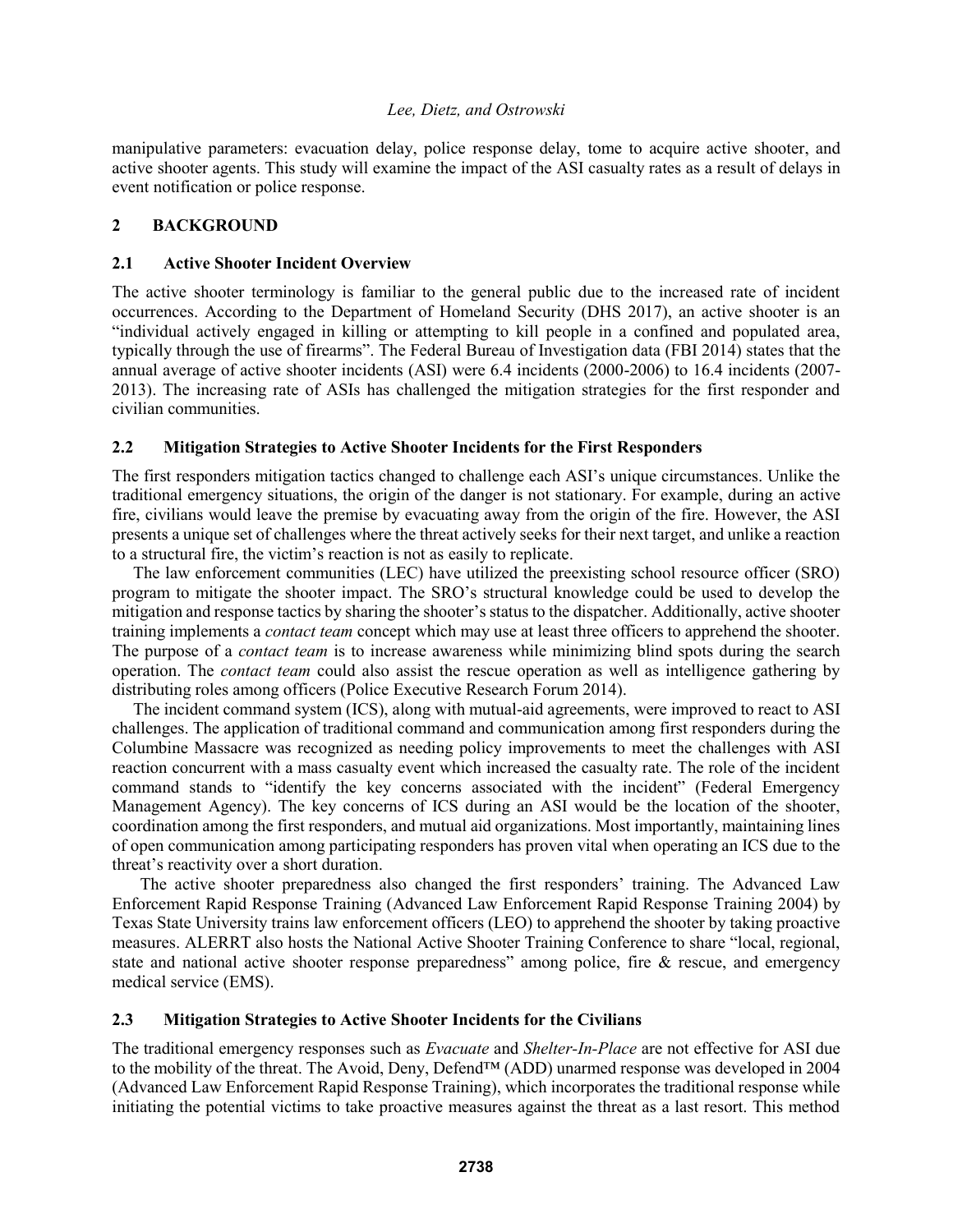manipulative parameters: evacuation delay, police response delay, tome to acquire active shooter, and active shooter agents. This study will examine the impact of the ASI casualty rates as a result of delays in event notification or police response.

#### **2 BACKGROUND**

#### **2.1 Active Shooter Incident Overview**

The active shooter terminology is familiar to the general public due to the increased rate of incident occurrences. According to the Department of Homeland Security (DHS 2017), an active shooter is an "individual actively engaged in killing or attempting to kill people in a confined and populated area, typically through the use of firearms". The Federal Bureau of Investigation data (FBI 2014) states that the annual average of active shooter incidents (ASI) were 6.4 incidents (2000-2006) to 16.4 incidents (2007- 2013). The increasing rate of ASIs has challenged the mitigation strategies for the first responder and civilian communities.

# **2.2 Mitigation Strategies to Active Shooter Incidents for the First Responders**

The first responders mitigation tactics changed to challenge each ASI's unique circumstances. Unlike the traditional emergency situations, the origin of the danger is not stationary. For example, during an active fire, civilians would leave the premise by evacuating away from the origin of the fire. However, the ASI presents a unique set of challenges where the threat actively seeks for their next target, and unlike a reaction to a structural fire, the victim's reaction is not as easily to replicate.

The law enforcement communities (LEC) have utilized the preexisting school resource officer (SRO) program to mitigate the shooter impact. The SRO's structural knowledge could be used to develop the mitigation and response tactics by sharing the shooter's status to the dispatcher. Additionally, active shooter training implements a *contact team* concept which may use at least three officers to apprehend the shooter. The purpose of a *contact team* is to increase awareness while minimizing blind spots during the search operation. The *contact team* could also assist the rescue operation as well as intelligence gathering by distributing roles among officers (Police Executive Research Forum 2014).

The incident command system (ICS), along with mutual-aid agreements, were improved to react to ASI challenges. The application of traditional command and communication among first responders during the Columbine Massacre was recognized as needing policy improvements to meet the challenges with ASI reaction concurrent with a mass casualty event which increased the casualty rate. The role of the incident command stands to "identify the key concerns associated with the incident" (Federal Emergency Management Agency). The key concerns of ICS during an ASI would be the location of the shooter, coordination among the first responders, and mutual aid organizations. Most importantly, maintaining lines of open communication among participating responders has proven vital when operating an ICS due to the threat's reactivity over a short duration.

The active shooter preparedness also changed the first responders' training. The Advanced Law Enforcement Rapid Response Training (Advanced Law Enforcement Rapid Response Training 2004) by Texas State University trains law enforcement officers (LEO) to apprehend the shooter by taking proactive measures. ALERRT also hosts the National Active Shooter Training Conference to share "local, regional, state and national active shooter response preparedness" among police, fire & rescue, and emergency medical service (EMS).

# **2.3 Mitigation Strategies to Active Shooter Incidents for the Civilians**

The traditional emergency responses such as *Evacuate* and *Shelter-In-Place* are not effective for ASI due to the mobility of the threat. The Avoid, Deny, Defend™ (ADD) unarmed response was developed in 2004 (Advanced Law Enforcement Rapid Response Training), which incorporates the traditional response while initiating the potential victims to take proactive measures against the threat as a last resort. This method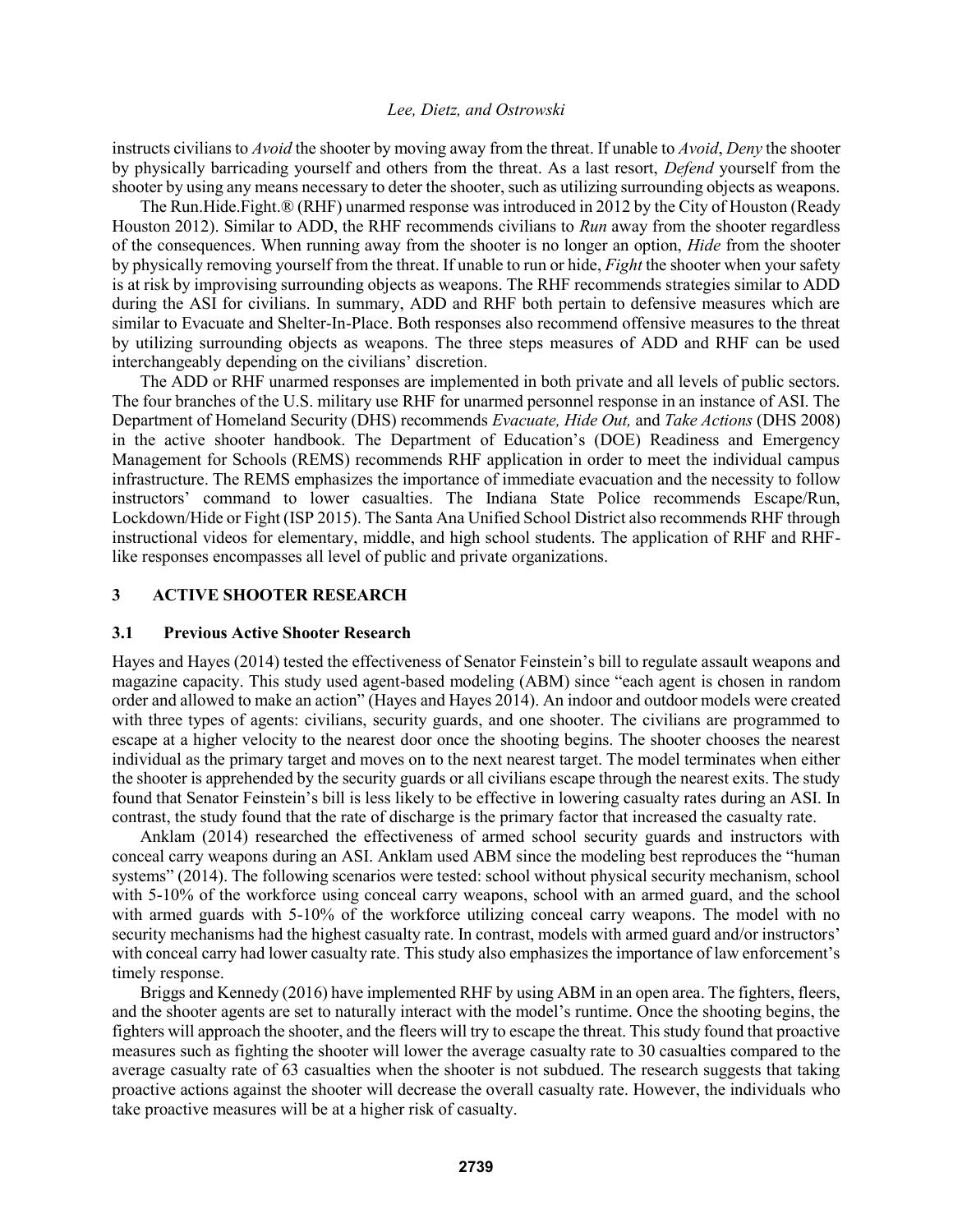instructs civilians to *Avoid* the shooter by moving away from the threat. If unable to *Avoid*, *Deny* the shooter by physically barricading yourself and others from the threat. As a last resort, *Defend* yourself from the shooter by using any means necessary to deter the shooter, such as utilizing surrounding objects as weapons.

The Run.Hide.Fight.® (RHF) unarmed response was introduced in 2012 by the City of Houston (Ready Houston 2012). Similar to ADD, the RHF recommends civilians to *Run* away from the shooter regardless of the consequences. When running away from the shooter is no longer an option, *Hide* from the shooter by physically removing yourself from the threat. If unable to run or hide, *Fight* the shooter when your safety is at risk by improvising surrounding objects as weapons. The RHF recommends strategies similar to ADD during the ASI for civilians. In summary, ADD and RHF both pertain to defensive measures which are similar to Evacuate and Shelter-In-Place. Both responses also recommend offensive measures to the threat by utilizing surrounding objects as weapons. The three steps measures of ADD and RHF can be used interchangeably depending on the civilians' discretion.

The ADD or RHF unarmed responses are implemented in both private and all levels of public sectors. The four branches of the U.S. military use RHF for unarmed personnel response in an instance of ASI. The Department of Homeland Security (DHS) recommends *Evacuate, Hide Out,* and *Take Actions* (DHS 2008) in the active shooter handbook. The Department of Education's (DOE) Readiness and Emergency Management for Schools (REMS) recommends RHF application in order to meet the individual campus infrastructure. The REMS emphasizes the importance of immediate evacuation and the necessity to follow instructors' command to lower casualties. The Indiana State Police recommends Escape/Run, Lockdown/Hide or Fight (ISP 2015). The Santa Ana Unified School District also recommends RHF through instructional videos for elementary, middle, and high school students. The application of RHF and RHFlike responses encompasses all level of public and private organizations.

#### **3 ACTIVE SHOOTER RESEARCH**

#### **3.1 Previous Active Shooter Research**

Hayes and Hayes (2014) tested the effectiveness of Senator Feinstein's bill to regulate assault weapons and magazine capacity. This study used agent-based modeling (ABM) since "each agent is chosen in random order and allowed to make an action" (Hayes and Hayes 2014). An indoor and outdoor models were created with three types of agents: civilians, security guards, and one shooter. The civilians are programmed to escape at a higher velocity to the nearest door once the shooting begins. The shooter chooses the nearest individual as the primary target and moves on to the next nearest target. The model terminates when either the shooter is apprehended by the security guards or all civilians escape through the nearest exits. The study found that Senator Feinstein's bill is less likely to be effective in lowering casualty rates during an ASI. In contrast, the study found that the rate of discharge is the primary factor that increased the casualty rate.

Anklam (2014) researched the effectiveness of armed school security guards and instructors with conceal carry weapons during an ASI. Anklam used ABM since the modeling best reproduces the "human systems" (2014). The following scenarios were tested: school without physical security mechanism, school with 5-10% of the workforce using conceal carry weapons, school with an armed guard, and the school with armed guards with 5-10% of the workforce utilizing conceal carry weapons. The model with no security mechanisms had the highest casualty rate. In contrast, models with armed guard and/or instructors' with conceal carry had lower casualty rate. This study also emphasizes the importance of law enforcement's timely response.

Briggs and Kennedy (2016) have implemented RHF by using ABM in an open area. The fighters, fleers, and the shooter agents are set to naturally interact with the model's runtime. Once the shooting begins, the fighters will approach the shooter, and the fleers will try to escape the threat. This study found that proactive measures such as fighting the shooter will lower the average casualty rate to 30 casualties compared to the average casualty rate of 63 casualties when the shooter is not subdued. The research suggests that taking proactive actions against the shooter will decrease the overall casualty rate. However, the individuals who take proactive measures will be at a higher risk of casualty.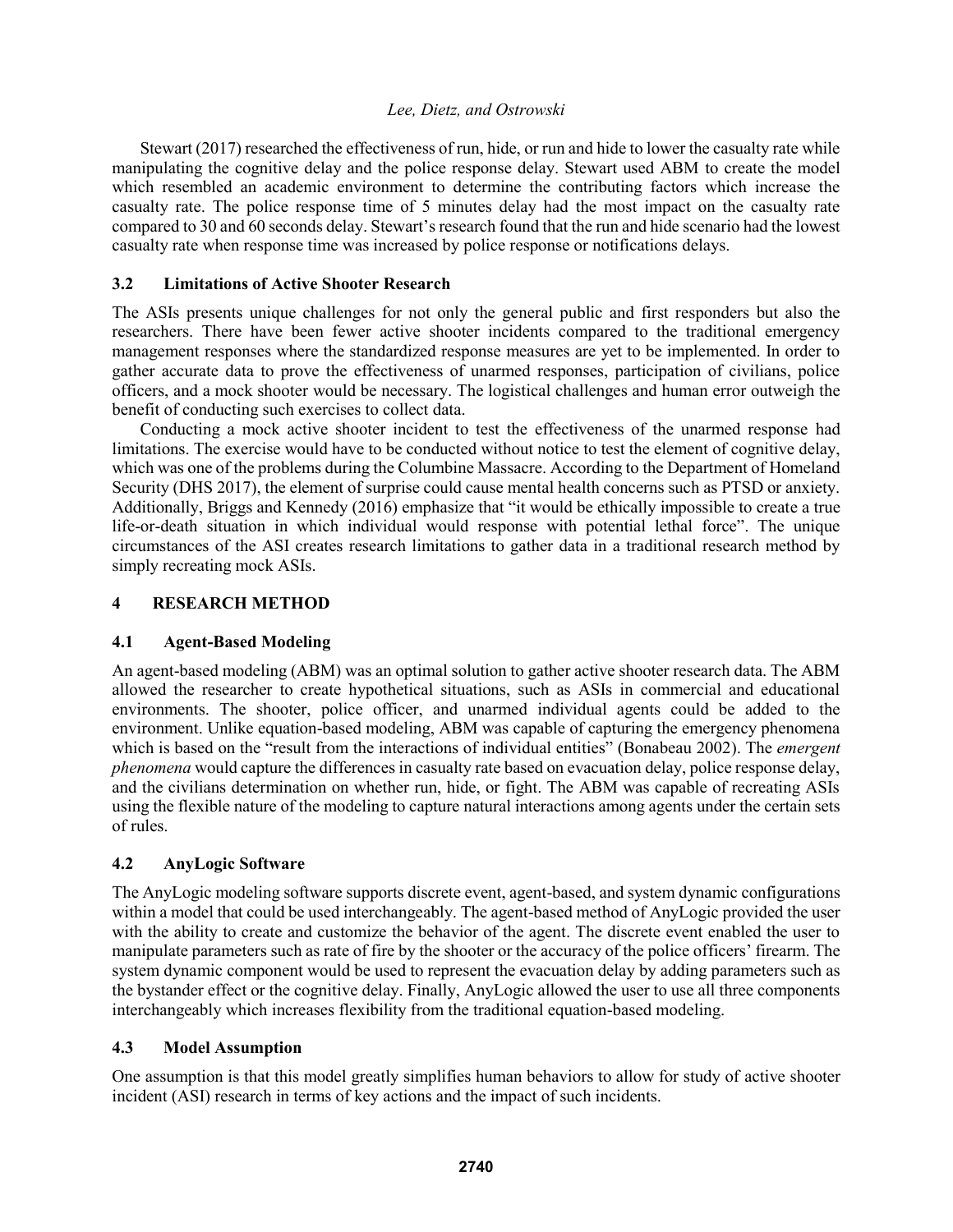Stewart (2017) researched the effectiveness of run, hide, or run and hide to lower the casualty rate while manipulating the cognitive delay and the police response delay. Stewart used ABM to create the model which resembled an academic environment to determine the contributing factors which increase the casualty rate. The police response time of 5 minutes delay had the most impact on the casualty rate compared to 30 and 60 seconds delay. Stewart's research found that the run and hide scenario had the lowest casualty rate when response time was increased by police response or notifications delays.

#### **3.2 Limitations of Active Shooter Research**

The ASIs presents unique challenges for not only the general public and first responders but also the researchers. There have been fewer active shooter incidents compared to the traditional emergency management responses where the standardized response measures are yet to be implemented. In order to gather accurate data to prove the effectiveness of unarmed responses, participation of civilians, police officers, and a mock shooter would be necessary. The logistical challenges and human error outweigh the benefit of conducting such exercises to collect data.

Conducting a mock active shooter incident to test the effectiveness of the unarmed response had limitations. The exercise would have to be conducted without notice to test the element of cognitive delay, which was one of the problems during the Columbine Massacre. According to the Department of Homeland Security (DHS 2017), the element of surprise could cause mental health concerns such as PTSD or anxiety. Additionally, Briggs and Kennedy (2016) emphasize that "it would be ethically impossible to create a true life-or-death situation in which individual would response with potential lethal force". The unique circumstances of the ASI creates research limitations to gather data in a traditional research method by simply recreating mock ASIs.

# **4 RESEARCH METHOD**

# **4.1 Agent-Based Modeling**

An agent-based modeling (ABM) was an optimal solution to gather active shooter research data. The ABM allowed the researcher to create hypothetical situations, such as ASIs in commercial and educational environments. The shooter, police officer, and unarmed individual agents could be added to the environment. Unlike equation-based modeling, ABM was capable of capturing the emergency phenomena which is based on the "result from the interactions of individual entities" (Bonabeau 2002). The *emergent phenomena* would capture the differences in casualty rate based on evacuation delay, police response delay, and the civilians determination on whether run, hide, or fight. The ABM was capable of recreating ASIs using the flexible nature of the modeling to capture natural interactions among agents under the certain sets of rules.

# **4.2 AnyLogic Software**

The AnyLogic modeling software supports discrete event, agent-based, and system dynamic configurations within a model that could be used interchangeably. The agent-based method of AnyLogic provided the user with the ability to create and customize the behavior of the agent. The discrete event enabled the user to manipulate parameters such as rate of fire by the shooter or the accuracy of the police officers' firearm. The system dynamic component would be used to represent the evacuation delay by adding parameters such as the bystander effect or the cognitive delay. Finally, AnyLogic allowed the user to use all three components interchangeably which increases flexibility from the traditional equation-based modeling.

# **4.3 Model Assumption**

One assumption is that this model greatly simplifies human behaviors to allow for study of active shooter incident (ASI) research in terms of key actions and the impact of such incidents.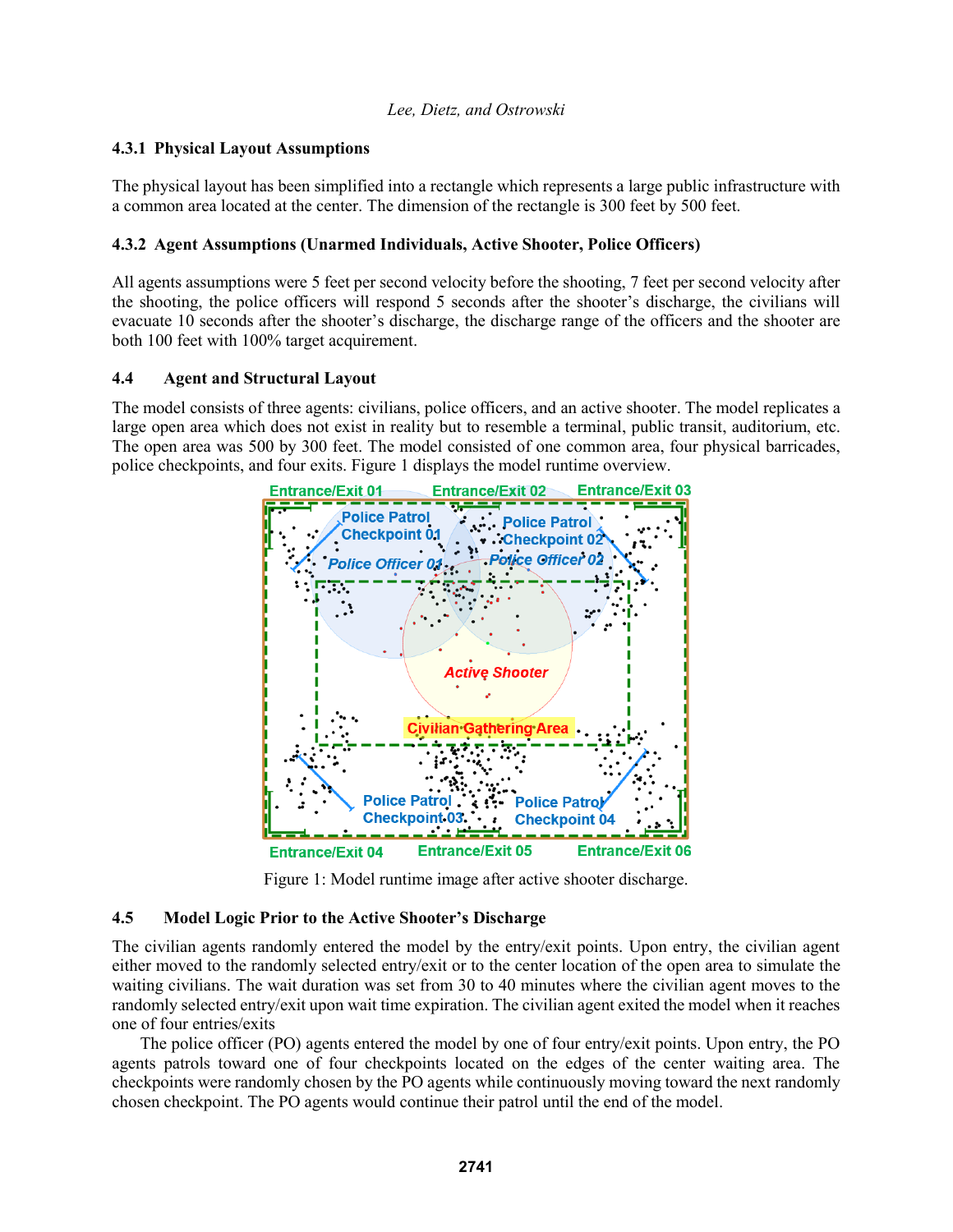# **4.3.1 Physical Layout Assumptions**

The physical layout has been simplified into a rectangle which represents a large public infrastructure with a common area located at the center. The dimension of the rectangle is 300 feet by 500 feet.

# **4.3.2 Agent Assumptions (Unarmed Individuals, Active Shooter, Police Officers)**

All agents assumptions were 5 feet per second velocity before the shooting, 7 feet per second velocity after the shooting, the police officers will respond 5 seconds after the shooter's discharge, the civilians will evacuate 10 seconds after the shooter's discharge, the discharge range of the officers and the shooter are both 100 feet with 100% target acquirement.

# **4.4 Agent and Structural Layout**

The model consists of three agents: civilians, police officers, and an active shooter. The model replicates a large open area which does not exist in reality but to resemble a terminal, public transit, auditorium, etc. The open area was 500 by 300 feet. The model consisted of one common area, four physical barricades, police checkpoints, and four exits. Figure 1 displays the model runtime overview.



Figure 1: Model runtime image after active shooter discharge.

# **4.5 Model Logic Prior to the Active Shooter's Discharge**

The civilian agents randomly entered the model by the entry/exit points. Upon entry, the civilian agent either moved to the randomly selected entry/exit or to the center location of the open area to simulate the waiting civilians. The wait duration was set from 30 to 40 minutes where the civilian agent moves to the randomly selected entry/exit upon wait time expiration. The civilian agent exited the model when it reaches one of four entries/exits

The police officer (PO) agents entered the model by one of four entry/exit points. Upon entry, the PO agents patrols toward one of four checkpoints located on the edges of the center waiting area. The checkpoints were randomly chosen by the PO agents while continuously moving toward the next randomly chosen checkpoint. The PO agents would continue their patrol until the end of the model.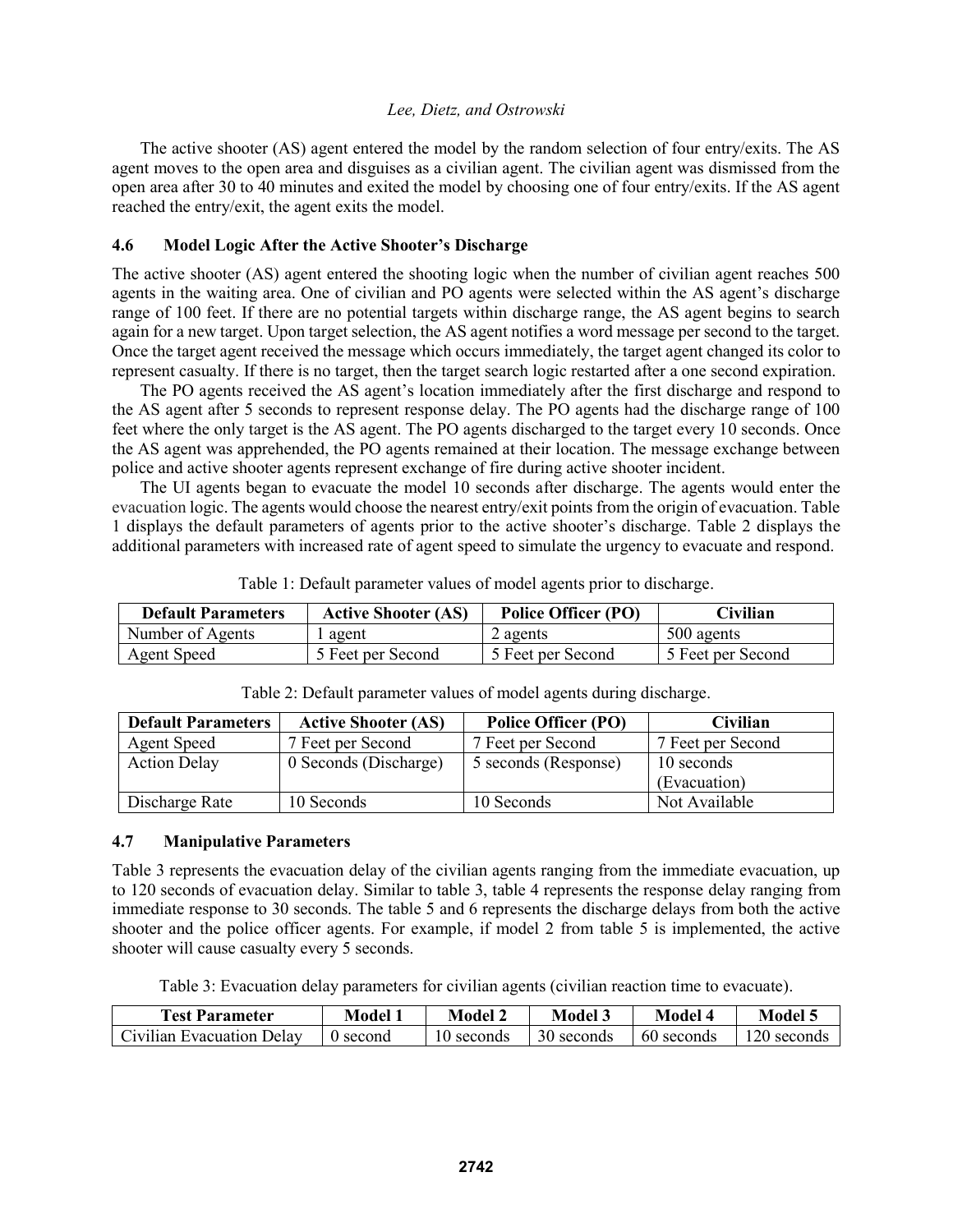The active shooter (AS) agent entered the model by the random selection of four entry/exits. The AS agent moves to the open area and disguises as a civilian agent. The civilian agent was dismissed from the open area after 30 to 40 minutes and exited the model by choosing one of four entry/exits. If the AS agent reached the entry/exit, the agent exits the model.

#### **4.6 Model Logic After the Active Shooter's Discharge**

The active shooter (AS) agent entered the shooting logic when the number of civilian agent reaches 500 agents in the waiting area. One of civilian and PO agents were selected within the AS agent's discharge range of 100 feet. If there are no potential targets within discharge range, the AS agent begins to search again for a new target. Upon target selection, the AS agent notifies a word message per second to the target. Once the target agent received the message which occurs immediately, the target agent changed its color to represent casualty. If there is no target, then the target search logic restarted after a one second expiration.

The PO agents received the AS agent's location immediately after the first discharge and respond to the AS agent after 5 seconds to represent response delay. The PO agents had the discharge range of 100 feet where the only target is the AS agent. The PO agents discharged to the target every 10 seconds. Once the AS agent was apprehended, the PO agents remained at their location. The message exchange between police and active shooter agents represent exchange of fire during active shooter incident.

The UI agents began to evacuate the model 10 seconds after discharge. The agents would enter the evacuation logic. The agents would choose the nearest entry/exit points from the origin of evacuation. Table 1 displays the default parameters of agents prior to the active shooter's discharge. Table 2 displays the additional parameters with increased rate of agent speed to simulate the urgency to evacuate and respond.

| <b>Default Parameters</b> | <b>Active Shooter (AS)</b> | <b>Police Officer (PO)</b> | Civilian          |
|---------------------------|----------------------------|----------------------------|-------------------|
| Number of Agents          | l agent                    | 2 agents                   | 500 agents        |
| <b>Agent Speed</b>        | 5 Feet per Second          | 5 Feet per Second          | 5 Feet per Second |

Table 1: Default parameter values of model agents prior to discharge.

| <b>Default Parameters</b> | <b>Active Shooter (AS)</b> | <b>Police Officer (PO)</b> | Civilian                   |
|---------------------------|----------------------------|----------------------------|----------------------------|
| Agent Speed               | 7 Feet per Second          | 7 Feet per Second          | 7 Feet per Second          |
| <b>Action Delay</b>       | 0 Seconds (Discharge)      | 5 seconds (Response)       | 10 seconds<br>(Evacuation) |
| Discharge Rate            | 10 Seconds                 | 10 Seconds                 | Not Available              |

Table 2: Default parameter values of model agents during discharge.

#### **4.7 Manipulative Parameters**

Table 3 represents the evacuation delay of the civilian agents ranging from the immediate evacuation, up to 120 seconds of evacuation delay. Similar to table 3, table 4 represents the response delay ranging from immediate response to 30 seconds. The table 5 and 6 represents the discharge delays from both the active shooter and the police officer agents. For example, if model 2 from table 5 is implemented, the active shooter will cause casualty every 5 seconds.

Table 3: Evacuation delay parameters for civilian agents (civilian reaction time to evacuate).

| <b>Test Parameter</b>     | Model    | Model      | Model 3    | Model      | Model 5     |
|---------------------------|----------|------------|------------|------------|-------------|
| Civilian Evacuation Delay | 0 second | 10 seconds | 30 seconds | 60 seconds | 120 seconds |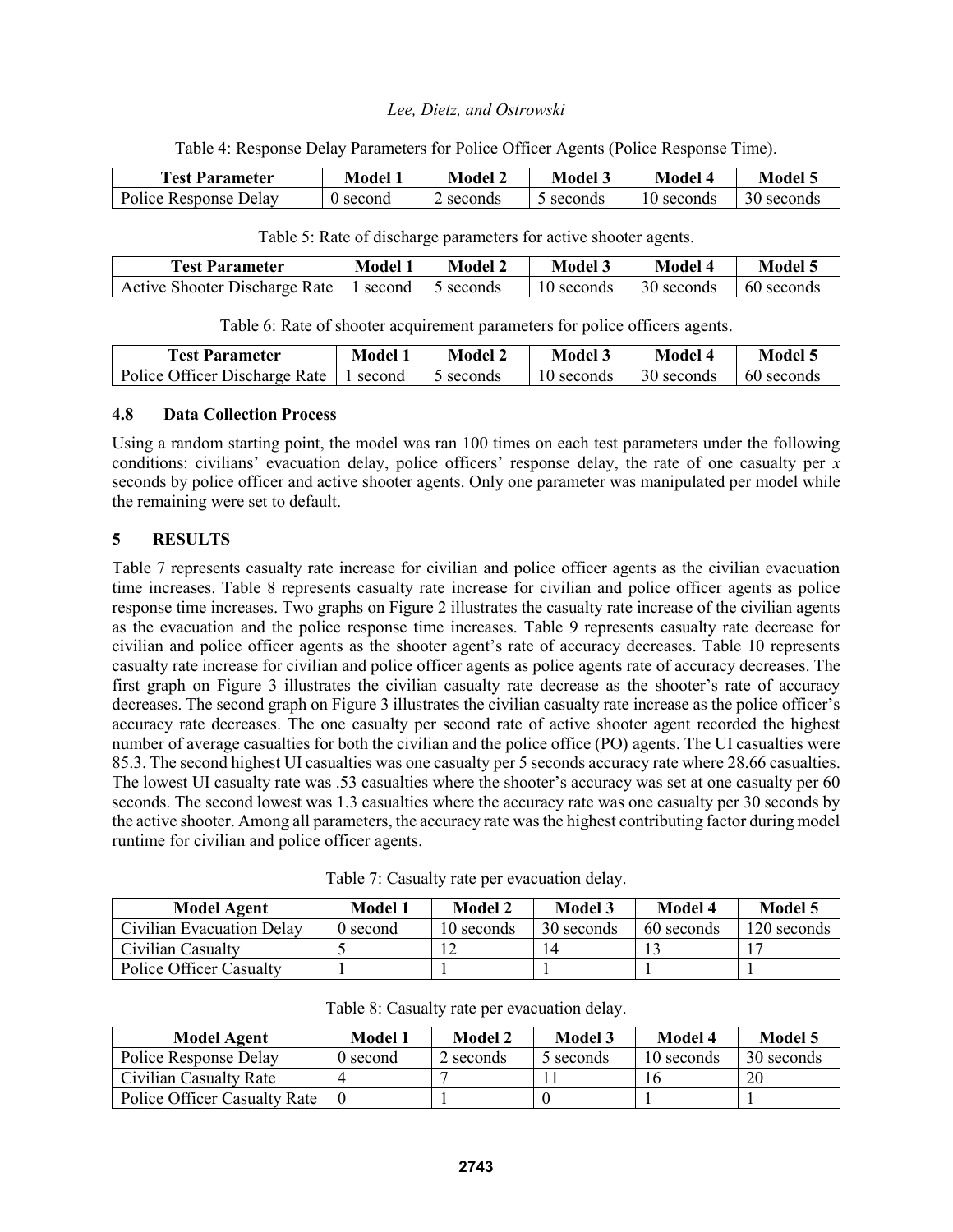Table 4: Response Delay Parameters for Police Officer Agents (Police Response Time).

| <b>Test Parameter</b> | Model                                                                                 | Model 2 | Model 3 | Model      | Model 5    |
|-----------------------|---------------------------------------------------------------------------------------|---------|---------|------------|------------|
| Police Response Delay | second </td <td>seconds</td> <td>seconds</td> <td>10 seconds</td> <td>30 seconds</td> | seconds | seconds | 10 seconds | 30 seconds |

| <b>Test Parameter</b>                                | Model 1 | Model 2 | Model 3    | Model 4    | Model 5    |
|------------------------------------------------------|---------|---------|------------|------------|------------|
| Active Shooter Discharge Rate   1 second   5 seconds |         |         | 10 seconds | 30 seconds | 60 seconds |

Table 5: Rate of discharge parameters for active shooter agents.

Table 6: Rate of shooter acquirement parameters for police officers agents.

| <b>Test Parameter</b>         | Model <sup>*</sup> | Model <sup>~</sup> | Model 3    | Model 4    | Model 5    |
|-------------------------------|--------------------|--------------------|------------|------------|------------|
| Police Officer Discharge Rate | l second           | 5 seconds          | 10 seconds | 30 seconds | 60 seconds |

# **4.8 Data Collection Process**

Using a random starting point, the model was ran 100 times on each test parameters under the following conditions: civilians' evacuation delay, police officers' response delay, the rate of one casualty per *x*  seconds by police officer and active shooter agents. Only one parameter was manipulated per model while the remaining were set to default.

# **5 RESULTS**

Table 7 represents casualty rate increase for civilian and police officer agents as the civilian evacuation time increases. Table 8 represents casualty rate increase for civilian and police officer agents as police response time increases. Two graphs on Figure 2 illustrates the casualty rate increase of the civilian agents as the evacuation and the police response time increases. Table 9 represents casualty rate decrease for civilian and police officer agents as the shooter agent's rate of accuracy decreases. Table 10 represents casualty rate increase for civilian and police officer agents as police agents rate of accuracy decreases. The first graph on Figure 3 illustrates the civilian casualty rate decrease as the shooter's rate of accuracy decreases. The second graph on Figure 3 illustrates the civilian casualty rate increase as the police officer's accuracy rate decreases. The one casualty per second rate of active shooter agent recorded the highest number of average casualties for both the civilian and the police office (PO) agents. The UI casualties were 85.3. The second highest UI casualties was one casualty per 5 seconds accuracy rate where 28.66 casualties. The lowest UI casualty rate was .53 casualties where the shooter's accuracy was set at one casualty per 60 seconds. The second lowest was 1.3 casualties where the accuracy rate was one casualty per 30 seconds by the active shooter. Among all parameters, the accuracy rate was the highest contributing factor during model runtime for civilian and police officer agents.

| <b>Model Agent</b>             | Model 1  | Model 2    | Model 3    | Model 4    | Model 5     |
|--------------------------------|----------|------------|------------|------------|-------------|
| Civilian Evacuation Delay      | 0 second | 10 seconds | 30 seconds | 60 seconds | 120 seconds |
| Civilian Casualty              |          |            |            |            |             |
| <b>Police Officer Casualty</b> |          |            |            |            |             |

Table 7: Casualty rate per evacuation delay.

| Table 8: Casualty rate per evacuation delay. |  |
|----------------------------------------------|--|
|----------------------------------------------|--|

| <b>Model Agent</b>                  | Model 1  | Model 2   | <b>Model 3</b> | Model 4    | <b>Model 5</b> |
|-------------------------------------|----------|-----------|----------------|------------|----------------|
| Police Response Delay               | 0 second | 2 seconds | 5 seconds      | 10 seconds | 30 seconds     |
| Civilian Casualty Rate              |          |           |                |            | 20             |
| <b>Police Officer Casualty Rate</b> |          |           |                |            |                |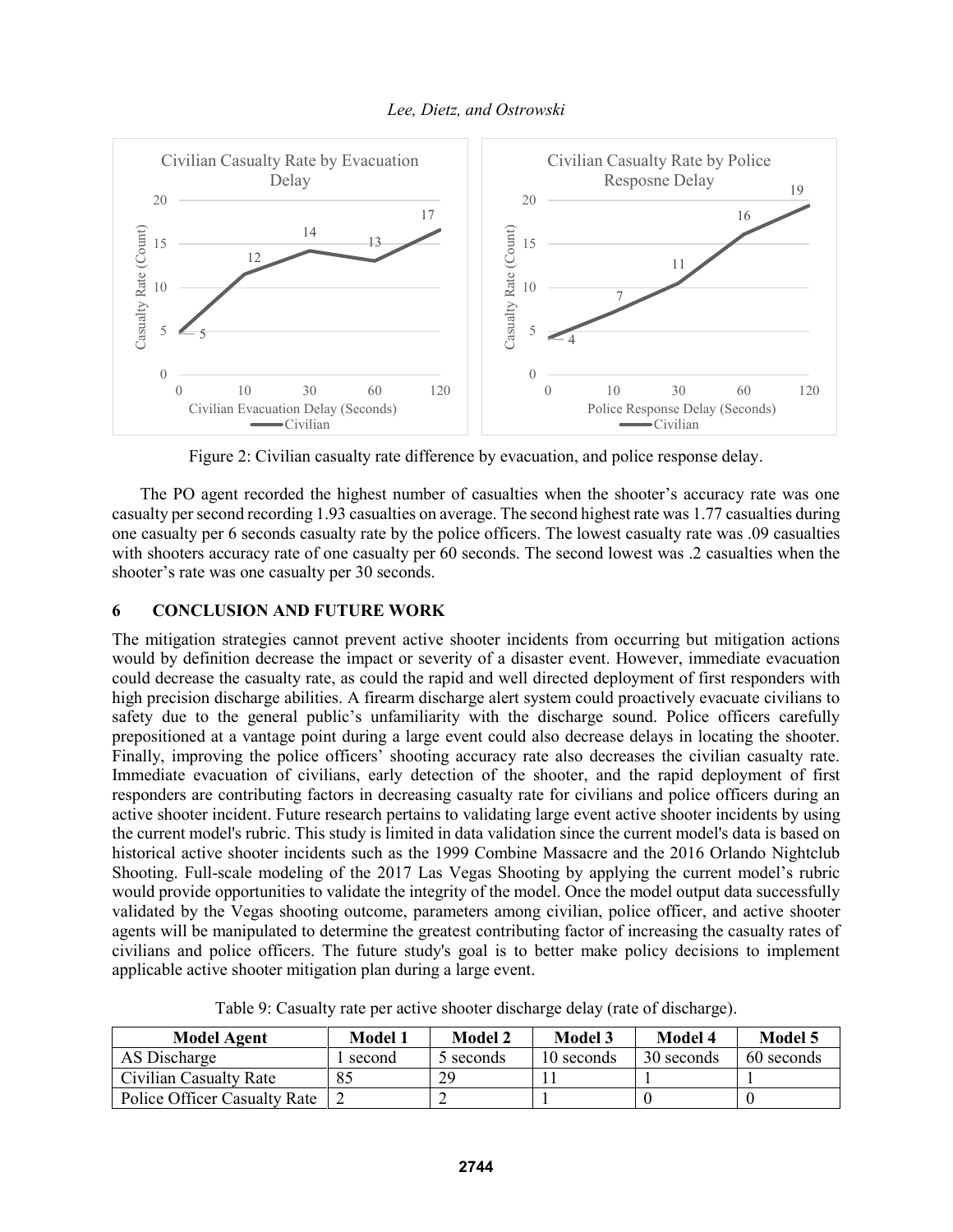

Figure 2: Civilian casualty rate difference by evacuation, and police response delay.

The PO agent recorded the highest number of casualties when the shooter's accuracy rate was one casualty per second recording 1.93 casualties on average. The second highest rate was 1.77 casualties during one casualty per 6 seconds casualty rate by the police officers. The lowest casualty rate was .09 casualties with shooters accuracy rate of one casualty per 60 seconds. The second lowest was .2 casualties when the shooter's rate was one casualty per 30 seconds.

#### **6 CONCLUSION AND FUTURE WORK**

The mitigation strategies cannot prevent active shooter incidents from occurring but mitigation actions would by definition decrease the impact or severity of a disaster event. However, immediate evacuation could decrease the casualty rate, as could the rapid and well directed deployment of first responders with high precision discharge abilities. A firearm discharge alert system could proactively evacuate civilians to safety due to the general public's unfamiliarity with the discharge sound. Police officers carefully prepositioned at a vantage point during a large event could also decrease delays in locating the shooter. Finally, improving the police officers' shooting accuracy rate also decreases the civilian casualty rate. Immediate evacuation of civilians, early detection of the shooter, and the rapid deployment of first responders are contributing factors in decreasing casualty rate for civilians and police officers during an active shooter incident. Future research pertains to validating large event active shooter incidents by using the current model's rubric. This study is limited in data validation since the current model's data is based on historical active shooter incidents such as the 1999 Combine Massacre and the 2016 Orlando Nightclub Shooting. Full-scale modeling of the 2017 Las Vegas Shooting by applying the current model's rubric would provide opportunities to validate the integrity of the model. Once the model output data successfully validated by the Vegas shooting outcome, parameters among civilian, police officer, and active shooter agents will be manipulated to determine the greatest contributing factor of increasing the casualty rates of civilians and police officers. The future study's goal is to better make policy decisions to implement applicable active shooter mitigation plan during a large event.

Table 9: Casualty rate per active shooter discharge delay (rate of discharge).

| <b>Model Agent</b>                  | Model 1 | Model 2   | Model 3    | Model 4    | Model 5    |
|-------------------------------------|---------|-----------|------------|------------|------------|
| AS Discharge                        | second  | 5 seconds | 10 seconds | 30 seconds | 60 seconds |
| <b>Civilian Casualty Rate</b>       |         | 29        |            |            |            |
| <b>Police Officer Casualty Rate</b> |         |           |            |            |            |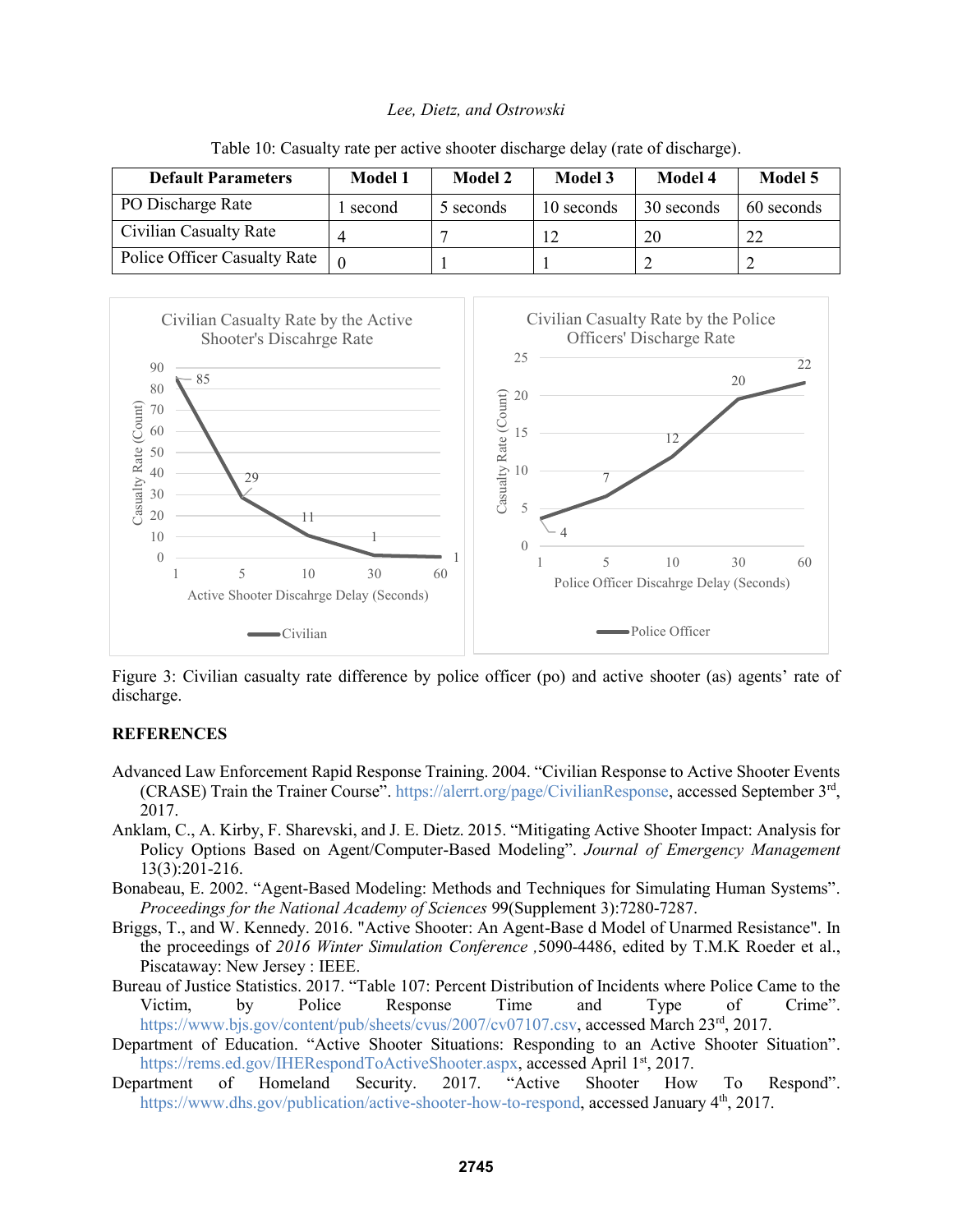| <b>Default Parameters</b>    | Model 1 | Model 2   | Model 3    | Model 4    | <b>Model 5</b> |
|------------------------------|---------|-----------|------------|------------|----------------|
| PO Discharge Rate            | second  | 5 seconds | 10 seconds | 30 seconds | 60 seconds     |
| Civilian Casualty Rate       |         |           |            | 20         | 22             |
| Police Officer Casualty Rate |         |           |            |            |                |

Table 10: Casualty rate per active shooter discharge delay (rate of discharge).



Figure 3: Civilian casualty rate difference by police officer (po) and active shooter (as) agents' rate of discharge.

#### **REFERENCES**

- Advanced Law Enforcement Rapid Response Training. 2004. "Civilian Response to Active Shooter Events (CRASE) Train the Trainer Course". https://alerrt.org/page/CivilianResponse, accessed September 3rd, 2017.
- Anklam, C., A. Kirby, F. Sharevski, and J. E. Dietz. 2015. "Mitigating Active Shooter Impact: Analysis for Policy Options Based on Agent/Computer-Based Modeling". *Journal of Emergency Management*  13(3):201-216.
- Bonabeau, E. 2002. "Agent-Based Modeling: Methods and Techniques for Simulating Human Systems". *Proceedings for the National Academy of Sciences* 99(Supplement 3):7280-7287.
- Briggs, T., and W. Kennedy. 2016. "Active Shooter: An Agent-Base d Model of Unarmed Resistance". In the proceedings of *2016 Winter Simulation Conference ,*5090-4486, edited by T.M.K Roeder et al., Piscataway: New Jersey : IEEE.
- Bureau of Justice Statistics. 2017. "Table 107: Percent Distribution of Incidents where Police Came to the Victim, by Police Response Time and Type of Crime". https://www.bjs.gov/content/pub/sheets/cvus/2007/cv07107.csv, accessed March 23<sup>rd</sup>, 2017.
- Department of Education. "Active Shooter Situations: Responding to an Active Shooter Situation". https://rems.ed.gov/IHERespondToActiveShooter.aspx, accessed April 1<sup>st</sup>, 2017.
- Department of Homeland Security. 2017. "Active Shooter How To Respond". https://www.dhs.gov/publication/active-shooter-how-to-respond, accessed January 4<sup>th</sup>, 2017.